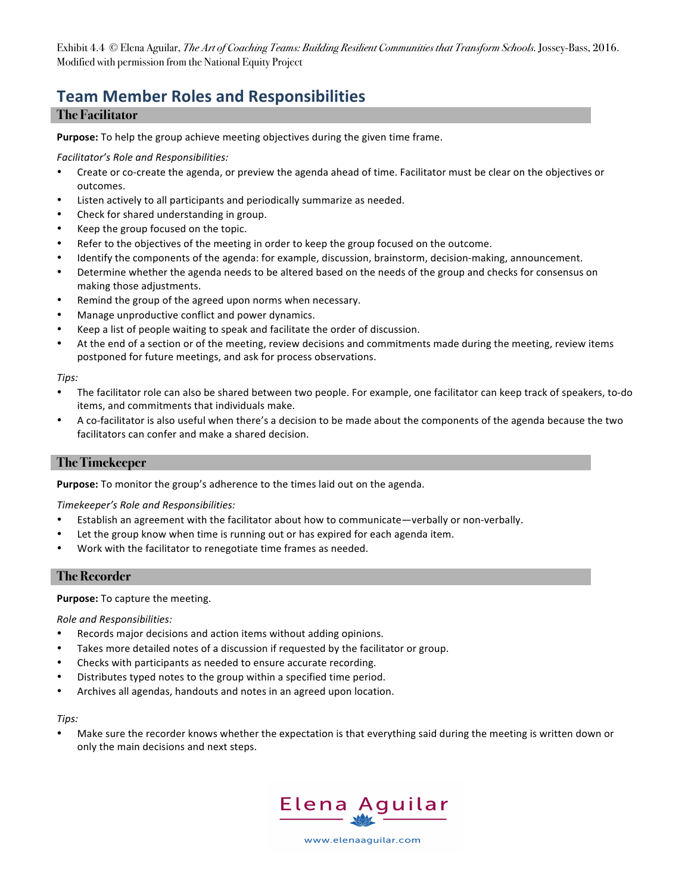Exhibit 4.4 © Elena Aguilar, *The Art of Coaching Teams: Building Resilient Communities that Transform Schools.* Jossey-Bass, 2016. Modified with permission from the National Equity Project

# **Team Member Roles and Responsibilities**

# **The Facilitator**

**Purpose:** To help the group achieve meeting objectives during the given time frame.

Facilitator's Role and Responsibilities:

- Create or co-create the agenda, or preview the agenda ahead of time. Facilitator must be clear on the objectives or outcomes.
- Listen actively to all participants and periodically summarize as needed.
- Check for shared understanding in group.
- Keep the group focused on the topic.
- Refer to the objectives of the meeting in order to keep the group focused on the outcome.
- Identify the components of the agenda: for example, discussion, brainstorm, decision-making, announcement.
- Determine whether the agenda needs to be altered based on the needs of the group and checks for consensus on making those adjustments.
- Remind the group of the agreed upon norms when necessary.
- Manage unproductive conflict and power dynamics.
- Keep a list of people waiting to speak and facilitate the order of discussion.
- At the end of a section or of the meeting, review decisions and commitments made during the meeting, review items postponed for future meetings, and ask for process observations.

## *Tips:*

- The facilitator role can also be shared between two people. For example, one facilitator can keep track of speakers, to-do items, and commitments that individuals make.
- A co-facilitator is also useful when there's a decision to be made about the components of the agenda because the two facilitators can confer and make a shared decision.

# **The Timekeeper**

**Purpose:** To monitor the group's adherence to the times laid out on the agenda.

*Timekeeper's Role and Responsibilities:* 

- Establish an agreement with the facilitator about how to communicate—verbally or non-verbally.
- Let the group know when time is running out or has expired for each agenda item.
- Work with the facilitator to renegotiate time frames as needed.

## **The Recorder**

**Purpose:** To capture the meeting.

*Role and Responsibilities:* 

- Records major decisions and action items without adding opinions.
- Takes more detailed notes of a discussion if requested by the facilitator or group.
- Checks with participants as needed to ensure accurate recording.
- Distributes typed notes to the group within a specified time period.
- Archives all agendas, handouts and notes in an agreed upon location.

## *Tips:*

• Make sure the recorder knows whether the expectation is that everything said during the meeting is written down or only the main decisions and next steps.



www.elenaaquilar.com